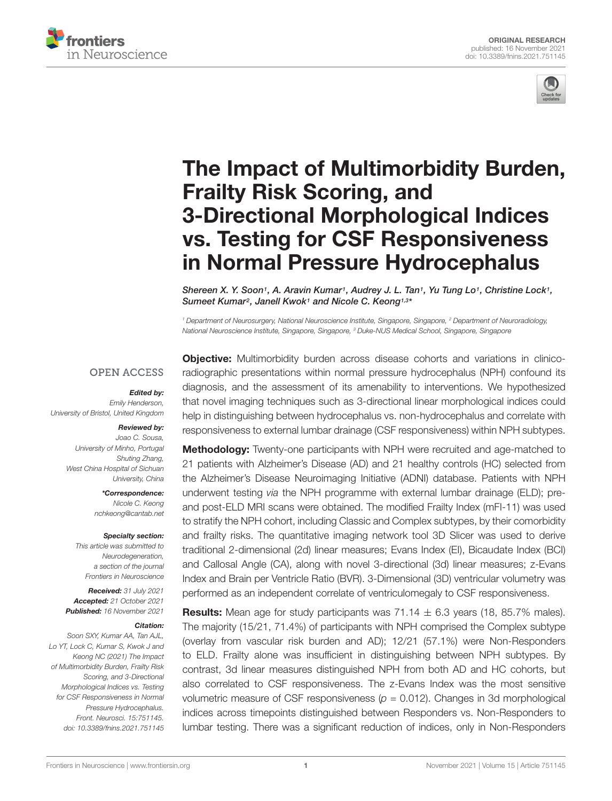



# [The Impact of Multimorbidity Burden,](https://www.frontiersin.org/articles/10.3389/fnins.2021.751145/full) Frailty Risk Scoring, and 3-Directional Morphological Indices vs. Testing for CSF Responsiveness in Normal Pressure Hydrocephalus

Shereen X. Y. Soon<sup>1</sup>, A. Aravin Kumar<sup>1</sup>, Audrey J. L. Tan<sup>1</sup>, Yu Tung Lo<sup>1</sup>, Christine Lock<sup>1</sup>, Sumeet Kumar<sup>2</sup>, Janell Kwok<sup>1</sup> and Nicole C. Keong<sup>1,3\*</sup>

<sup>1</sup> Department of Neurosurgery, National Neuroscience Institute, Singapore, Singapore, <sup>2</sup> Department of Neuroradiology, National Neuroscience Institute, Singapore, Singapore, <sup>3</sup> Duke-NUS Medical School, Singapore, Singapore

#### **OPEN ACCESS**

#### Edited by:

Emily Henderson, University of Bristol, United Kingdom

#### Reviewed by: Joao C. Sousa,

University of Minho, Portugal Shuting Zhang, West China Hospital of Sichuan University, China

> \*Correspondence: Nicole C. Keong nchkeong@cantab.net

#### Specialty section:

This article was submitted to Neurodegeneration, a section of the journal Frontiers in Neuroscience

Received: 31 July 2021 Accepted: 21 October 2021 Published: 16 November 2021

#### Citation:

Soon SXY, Kumar AA, Tan AJL, Lo YT, Lock C, Kumar S, Kwok J and Keong NC (2021) The Impact of Multimorbidity Burden, Frailty Risk Scoring, and 3-Directional Morphological Indices vs. Testing for CSF Responsiveness in Normal Pressure Hydrocephalus. Front. Neurosci. 15:751145. doi: [10.3389/fnins.2021.751145](https://doi.org/10.3389/fnins.2021.751145)

**Objective:** Multimorbidity burden across disease cohorts and variations in clinicoradiographic presentations within normal pressure hydrocephalus (NPH) confound its diagnosis, and the assessment of its amenability to interventions. We hypothesized that novel imaging techniques such as 3-directional linear morphological indices could help in distinguishing between hydrocephalus vs. non-hydrocephalus and correlate with responsiveness to external lumbar drainage (CSF responsiveness) within NPH subtypes.

Methodology: Twenty-one participants with NPH were recruited and age-matched to 21 patients with Alzheimer's Disease (AD) and 21 healthy controls (HC) selected from the Alzheimer's Disease Neuroimaging Initiative (ADNI) database. Patients with NPH underwent testing via the NPH programme with external lumbar drainage (ELD); preand post-ELD MRI scans were obtained. The modified Frailty Index (mFI-11) was used to stratify the NPH cohort, including Classic and Complex subtypes, by their comorbidity and frailty risks. The quantitative imaging network tool 3D Slicer was used to derive traditional 2-dimensional (2d) linear measures; Evans Index (EI), Bicaudate Index (BCI) and Callosal Angle (CA), along with novel 3-directional (3d) linear measures; z-Evans Index and Brain per Ventricle Ratio (BVR). 3-Dimensional (3D) ventricular volumetry was performed as an independent correlate of ventriculomegaly to CSF responsiveness.

**Results:** Mean age for study participants was  $71.14 \pm 6.3$  years (18, 85.7% males). The majority (15/21, 71.4%) of participants with NPH comprised the Complex subtype (overlay from vascular risk burden and AD); 12/21 (57.1%) were Non-Responders to ELD. Frailty alone was insufficient in distinguishing between NPH subtypes. By contrast, 3d linear measures distinguished NPH from both AD and HC cohorts, but also correlated to CSF responsiveness. The z-Evans Index was the most sensitive volumetric measure of CSF responsiveness ( $p = 0.012$ ). Changes in 3d morphological indices across timepoints distinguished between Responders vs. Non-Responders to lumbar testing. There was a significant reduction of indices, only in Non-Responders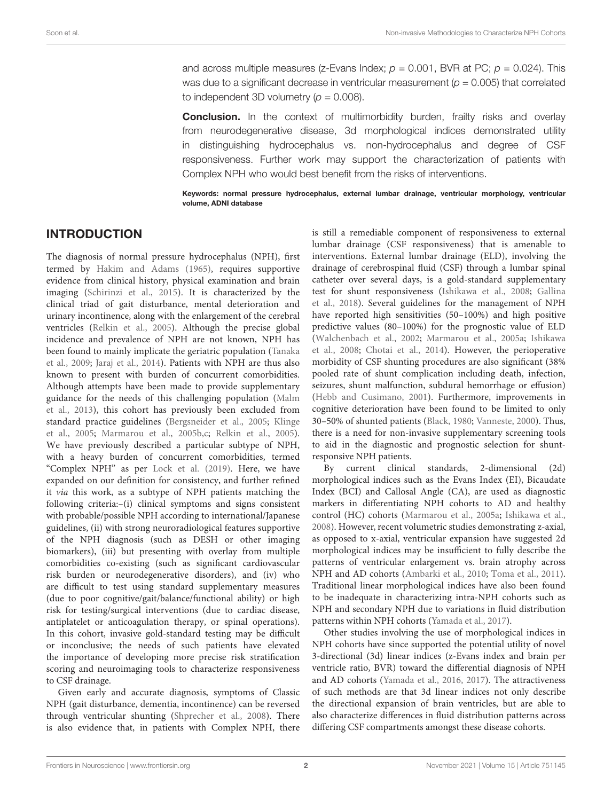and across multiple measures (z-Evans Index;  $p = 0.001$ , BVR at PC;  $p = 0.024$ ). This was due to a significant decrease in ventricular measurement ( $p = 0.005$ ) that correlated to independent 3D volumetry ( $p = 0.008$ ).

**Conclusion.** In the context of multimorbidity burden, frailty risks and overlay from neurodegenerative disease, 3d morphological indices demonstrated utility in distinguishing hydrocephalus vs. non-hydrocephalus and degree of CSF responsiveness. Further work may support the characterization of patients with Complex NPH who would best benefit from the risks of interventions.

Keywords: normal pressure hydrocephalus, external lumbar drainage, ventricular morphology, ventricular volume, ADNI database

# INTRODUCTION

The diagnosis of normal pressure hydrocephalus (NPH), first termed by [Hakim and Adams](#page-10-0) [\(1965\)](#page-10-0), requires supportive evidence from clinical history, physical examination and brain imaging [\(Schirinzi et al.,](#page-10-1) [2015\)](#page-10-1). It is characterized by the clinical triad of gait disturbance, mental deterioration and urinary incontinence, along with the enlargement of the cerebral ventricles [\(Relkin et al.,](#page-10-2) [2005\)](#page-10-2). Although the precise global incidence and prevalence of NPH are not known, NPH has been found to mainly implicate the geriatric population [\(Tanaka](#page-10-3) [et al.,](#page-10-3) [2009;](#page-10-3) [Jaraj et al.,](#page-10-4) [2014\)](#page-10-4). Patients with NPH are thus also known to present with burden of concurrent comorbidities. Although attempts have been made to provide supplementary guidance for the needs of this challenging population [\(Malm](#page-10-5) [et al.,](#page-10-5) [2013\)](#page-10-5), this cohort has previously been excluded from standard practice guidelines [\(Bergsneider et al.,](#page-10-6) [2005;](#page-10-6) [Klinge](#page-10-7) [et al.,](#page-10-7) [2005;](#page-10-7) [Marmarou et al.,](#page-10-8) [2005b](#page-10-8)[,c;](#page-10-9) [Relkin et al.,](#page-10-2) [2005\)](#page-10-2). We have previously described a particular subtype of NPH, with a heavy burden of concurrent comorbidities, termed "Complex NPH" as per [Lock et al.](#page-10-10) [\(2019\)](#page-10-10). Here, we have expanded on our definition for consistency, and further refined it via this work, as a subtype of NPH patients matching the following criteria:–(i) clinical symptoms and signs consistent with probable/possible NPH according to international/Japanese guidelines, (ii) with strong neuroradiological features supportive of the NPH diagnosis (such as DESH or other imaging biomarkers), (iii) but presenting with overlay from multiple comorbidities co-existing (such as significant cardiovascular risk burden or neurodegenerative disorders), and (iv) who are difficult to test using standard supplementary measures (due to poor cognitive/gait/balance/functional ability) or high risk for testing/surgical interventions (due to cardiac disease, antiplatelet or anticoagulation therapy, or spinal operations). In this cohort, invasive gold-standard testing may be difficult or inconclusive; the needs of such patients have elevated the importance of developing more precise risk stratification scoring and neuroimaging tools to characterize responsiveness to CSF drainage.

Given early and accurate diagnosis, symptoms of Classic NPH (gait disturbance, dementia, incontinence) can be reversed through ventricular shunting [\(Shprecher et al.,](#page-10-11) [2008\)](#page-10-11). There is also evidence that, in patients with Complex NPH, there

is still a remediable component of responsiveness to external lumbar drainage (CSF responsiveness) that is amenable to interventions. External lumbar drainage (ELD), involving the drainage of cerebrospinal fluid (CSF) through a lumbar spinal catheter over several days, is a gold-standard supplementary test for shunt responsiveness [\(Ishikawa et al.,](#page-10-12) [2008;](#page-10-12) [Gallina](#page-10-13) [et al.,](#page-10-13) [2018\)](#page-10-13). Several guidelines for the management of NPH have reported high sensitivities (50–100%) and high positive predictive values (80–100%) for the prognostic value of ELD [\(Walchenbach et al.,](#page-11-0) [2002;](#page-11-0) [Marmarou et al.,](#page-10-14) [2005a;](#page-10-14) [Ishikawa](#page-10-12) [et al.,](#page-10-12) [2008;](#page-10-12) [Chotai et al.,](#page-10-15) [2014\)](#page-10-15). However, the perioperative morbidity of CSF shunting procedures are also significant (38% pooled rate of shunt complication including death, infection, seizures, shunt malfunction, subdural hemorrhage or effusion) [\(Hebb and Cusimano,](#page-10-16) [2001\)](#page-10-16). Furthermore, improvements in cognitive deterioration have been found to be limited to only 30–50% of shunted patients [\(Black,](#page-10-17) [1980;](#page-10-17) [Vanneste,](#page-11-1) [2000\)](#page-11-1). Thus, there is a need for non-invasive supplementary screening tools to aid in the diagnostic and prognostic selection for shuntresponsive NPH patients.

By current clinical standards, 2-dimensional (2d) morphological indices such as the Evans Index (EI), Bicaudate Index (BCI) and Callosal Angle (CA), are used as diagnostic markers in differentiating NPH cohorts to AD and healthy control (HC) cohorts [\(Marmarou et al.,](#page-10-14) [2005a;](#page-10-14) [Ishikawa et al.,](#page-10-12) [2008\)](#page-10-12). However, recent volumetric studies demonstrating z-axial, as opposed to x-axial, ventricular expansion have suggested 2d morphological indices may be insufficient to fully describe the patterns of ventricular enlargement vs. brain atrophy across NPH and AD cohorts [\(Ambarki et al.,](#page-10-18) [2010;](#page-10-18) [Toma et al.,](#page-11-2) [2011\)](#page-11-2). Traditional linear morphological indices have also been found to be inadequate in characterizing intra-NPH cohorts such as NPH and secondary NPH due to variations in fluid distribution patterns within NPH cohorts [\(Yamada et al.,](#page-11-3) [2017\)](#page-11-3).

Other studies involving the use of morphological indices in NPH cohorts have since supported the potential utility of novel 3-directional (3d) linear indices (z-Evans index and brain per ventricle ratio, BVR) toward the differential diagnosis of NPH and AD cohorts [\(Yamada et al.,](#page-11-4) [2016,](#page-11-4) [2017\)](#page-11-3). The attractiveness of such methods are that 3d linear indices not only describe the directional expansion of brain ventricles, but are able to also characterize differences in fluid distribution patterns across differing CSF compartments amongst these disease cohorts.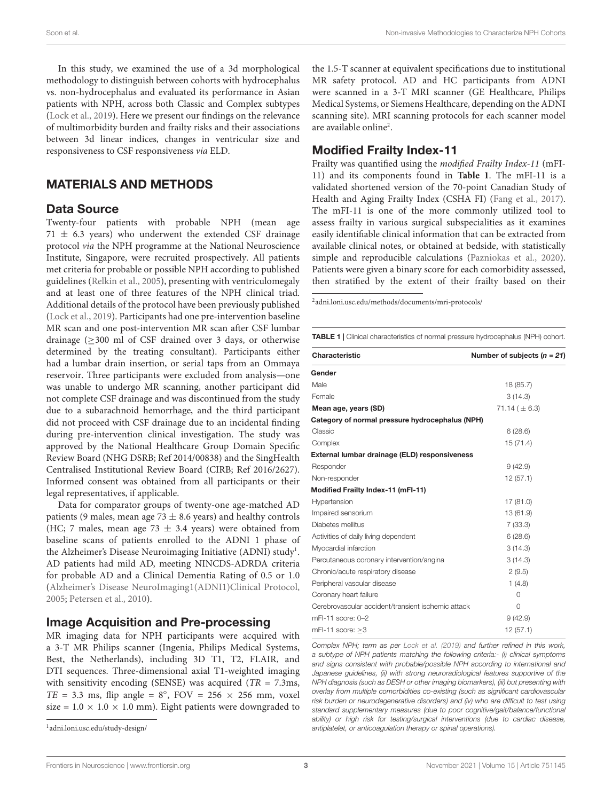In this study, we examined the use of a 3d morphological methodology to distinguish between cohorts with hydrocephalus vs. non-hydrocephalus and evaluated its performance in Asian patients with NPH, across both Classic and Complex subtypes [\(Lock et al.,](#page-10-10) [2019\)](#page-10-10). Here we present our findings on the relevance of multimorbidity burden and frailty risks and their associations between 3d linear indices, changes in ventricular size and responsiveness to CSF responsiveness via ELD.

### MATERIALS AND METHODS

#### Data Source

Twenty-four patients with probable NPH (mean age  $71 \pm 6.3$  years) who underwent the extended CSF drainage protocol via the NPH programme at the National Neuroscience Institute, Singapore, were recruited prospectively. All patients met criteria for probable or possible NPH according to published guidelines [\(Relkin et al.,](#page-10-2) [2005\)](#page-10-2), presenting with ventriculomegaly and at least one of three features of the NPH clinical triad. Additional details of the protocol have been previously published [\(Lock et al.,](#page-10-10) [2019\)](#page-10-10). Participants had one pre-intervention baseline MR scan and one post-intervention MR scan after CSF lumbar drainage (≥300 ml of CSF drained over 3 days, or otherwise determined by the treating consultant). Participants either had a lumbar drain insertion, or serial taps from an Ommaya reservoir. Three participants were excluded from analysis—one was unable to undergo MR scanning, another participant did not complete CSF drainage and was discontinued from the study due to a subarachnoid hemorrhage, and the third participant did not proceed with CSF drainage due to an incidental finding during pre-intervention clinical investigation. The study was approved by the National Healthcare Group Domain Specific Review Board (NHG DSRB; Ref 2014/00838) and the SingHealth Centralised Institutional Review Board (CIRB; Ref 2016/2627). Informed consent was obtained from all participants or their legal representatives, if applicable.

Data for comparator groups of twenty-one age-matched AD patients (9 males, mean age 73  $\pm$  8.6 years) and healthy controls (HC; 7 males, mean age 73  $\pm$  3.4 years) were obtained from baseline scans of patients enrolled to the ADNI 1 phase of the Alzheimer's Disease Neuroimaging Initiative (ADNI) study<sup>[1](#page-2-0)</sup>. AD patients had mild AD, meeting NINCDS-ADRDA criteria for probable AD and a Clinical Dementia Rating of 0.5 or 1.0 [\(Alzheimer's Disease NeuroImaging1\(ADNI1\)Clinical Protocol,](#page-10-19) [2005;](#page-10-19) [Petersen et al.,](#page-10-20) [2010\)](#page-10-20).

#### Image Acquisition and Pre-processing

MR imaging data for NPH participants were acquired with a 3-T MR Philips scanner (Ingenia, Philips Medical Systems, Best, the Netherlands), including 3D T1, T2, FLAIR, and DTI sequences. Three-dimensional axial T1-weighted imaging with sensitivity encoding (SENSE) was acquired ( $TR = 7.3$ ms,  $TE = 3.3$  ms, flip angle =  $8^\circ$ , FOV =  $256 \times 256$  mm, voxel size =  $1.0 \times 1.0 \times 1.0$  mm). Eight patients were downgraded to

the 1.5-T scanner at equivalent specifications due to institutional MR safety protocol. AD and HC participants from ADNI were scanned in a 3-T MRI scanner (GE Healthcare, Philips Medical Systems, or Siemens Healthcare, depending on the ADNI scanning site). MRI scanning protocols for each scanner model are available online<sup>[2](#page-2-1)</sup>.

#### Modified Frailty Index-11

Frailty was quantified using the modified Frailty Index-11 (mFI-11) and its components found in **[Table 1](#page-2-2)**. The mFI-11 is a validated shortened version of the 70-point Canadian Study of Health and Aging Frailty Index (CSHA FI) [\(Fang et al.,](#page-10-21) [2017\)](#page-10-21). The mFI-11 is one of the more commonly utilized tool to assess frailty in various surgical subspecialities as it examines easily identifiable clinical information that can be extracted from available clinical notes, or obtained at bedside, with statistically simple and reproducible calculations [\(Pazniokas et al.,](#page-10-22) [2020\)](#page-10-22). Patients were given a binary score for each comorbidity assessed, then stratified by the extent of their frailty based on their

<span id="page-2-1"></span>2 [adni.loni.usc.edu/methods/documents/mri-protocols/](http://adni.loni.usc.edu/methods/documents/mri-protocols/)

<span id="page-2-2"></span>TABLE 1 | Clinical characteristics of normal pressure hydrocephalus (NPH) cohort.

| Characteristic                                     | Number of subjects $(n = 21)$ |
|----------------------------------------------------|-------------------------------|
| Gender                                             |                               |
| Male                                               | 18 (85.7)                     |
| Female                                             | 3(14.3)                       |
| Mean age, years (SD)                               | 71.14 ( $\pm$ 6.3)            |
| Category of normal pressure hydrocephalus (NPH)    |                               |
| Classic                                            | 6(28.6)                       |
| Complex                                            | 15(71.4)                      |
| External lumbar drainage (ELD) responsiveness      |                               |
| Responder                                          | 9(42.9)                       |
| Non-responder                                      | 12(57.1)                      |
| Modified Frailty Index-11 (mFI-11)                 |                               |
| Hypertension                                       | 17 (81.0)                     |
| Impaired sensorium                                 | 13 (61.9)                     |
| Diabetes mellitus                                  | 7(33.3)                       |
| Activities of daily living dependent               | 6(28.6)                       |
| Myocardial infarction                              | 3(14.3)                       |
| Percutaneous coronary intervention/angina          | 3(14.3)                       |
| Chronic/acute respiratory disease                  | 2(9.5)                        |
| Peripheral vascular disease                        | 1(4.8)                        |
| Coronary heart failure                             | $\Omega$                      |
| Cerebrovascular accident/transient ischemic attack | $\Omega$                      |
| mFI-11 score: 0-2                                  | 9(42.9)                       |
| mFI-11 score: $\geq$ 3                             | 12(57.1)                      |

Complex NPH; term as per [Lock et al.](#page-10-10) [\(2019\)](#page-10-10) and further refined in this work, a subtype of NPH patients matching the following criteria:- (i) clinical symptoms and signs consistent with probable/possible NPH according to international and Japanese guidelines, (ii) with strong neuroradiological features supportive of the NPH diagnosis (such as DESH or other imaging biomarkers), (iii) but presenting with overlay from multiple comorbidities co-existing (such as significant cardiovascular risk burden or neurodegenerative disorders) and (iv) who are difficult to test using standard supplementary measures (due to poor cognitive/gait/balance/functional ability) or high risk for testing/surgical interventions (due to cardiac disease, antiplatelet, or anticoagulation therapy or spinal operations).

<span id="page-2-0"></span><sup>1</sup> [adni.loni.usc.edu/study-design/](http://adni.loni.usc.edu/study-design/)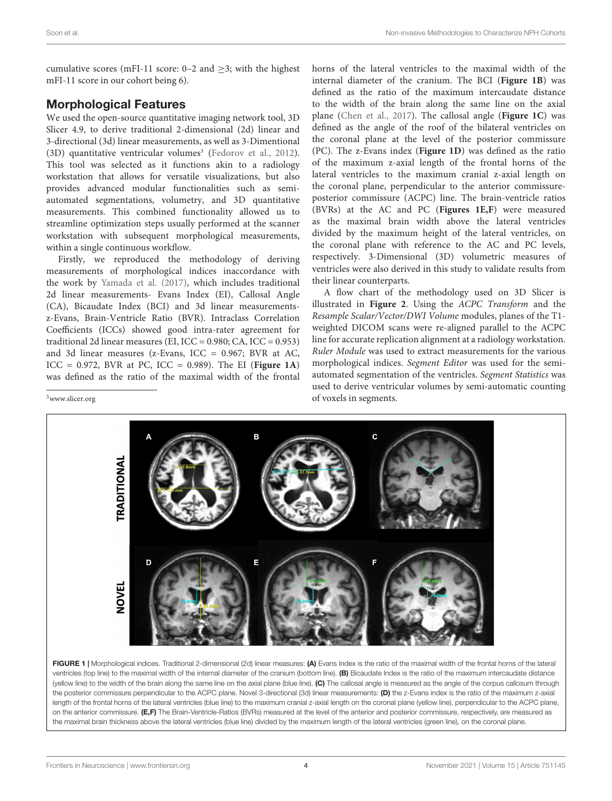cumulative scores (mFI-11 score: 0–2 and  $\geq$ 3; with the highest mFI-11 score in our cohort being 6).

# Morphological Features

We used the open-source quantitative imaging network tool, 3D Slicer 4.9, to derive traditional 2-dimensional (2d) linear and 3-directional (3d) linear measurements, as well as 3-Dimentional  $(3D)$  $(3D)$  $(3D)$  quantitative ventricular volumes<sup>3</sup> [\(Fedorov et al.,](#page-10-23) [2012\)](#page-10-23). This tool was selected as it functions akin to a radiology workstation that allows for versatile visualizations, but also provides advanced modular functionalities such as semiautomated segmentations, volumetry, and 3D quantitative measurements. This combined functionality allowed us to streamline optimization steps usually performed at the scanner workstation with subsequent morphological measurements, within a single continuous workflow.

Firstly, we reproduced the methodology of deriving measurements of morphological indices inaccordance with the work by [Yamada et al.](#page-11-3) [\(2017\)](#page-11-3), which includes traditional 2d linear measurements- Evans Index (EI), Callosal Angle (CA), Bicaudate Index (BCI) and 3d linear measurementsz-Evans, Brain-Ventricle Ratio (BVR). Intraclass Correlation Coefficients (ICCs) showed good intra-rater agreement for traditional 2d linear measures (EI,  $ICC = 0.980; CA, ICC = 0.953)$ ) and 3d linear measures (z-Evans, ICC = 0.967; BVR at AC, ICC = 0.972, BVR at PC, ICC = 0.989). The EI (**[Figure 1A](#page-3-1)**) was defined as the ratio of the maximal width of the frontal

horns of the lateral ventricles to the maximal width of the internal diameter of the cranium. The BCI (**[Figure 1B](#page-3-1)**) was defined as the ratio of the maximum intercaudate distance to the width of the brain along the same line on the axial plane [\(Chen et al.,](#page-10-24) [2017\)](#page-10-24). The callosal angle (**[Figure 1C](#page-3-1)**) was defined as the angle of the roof of the bilateral ventricles on the coronal plane at the level of the posterior commissure (PC). The z-Evans index (**[Figure 1D](#page-3-1)**) was defined as the ratio of the maximum z-axial length of the frontal horns of the lateral ventricles to the maximum cranial z-axial length on the coronal plane, perpendicular to the anterior commissureposterior commissure (ACPC) line. The brain-ventricle ratios (BVRs) at the AC and PC (**[Figures 1E,F](#page-3-1)**) were measured as the maximal brain width above the lateral ventricles divided by the maximum height of the lateral ventricles, on the coronal plane with reference to the AC and PC levels, respectively. 3-Dimensional (3D) volumetric measures of ventricles were also derived in this study to validate results from their linear counterparts.

A flow chart of the methodology used on 3D Slicer is illustrated in **[Figure 2](#page-4-0)**. Using the ACPC Transform and the Resample Scalar/Vector/DWI Volume modules, planes of the T1 weighted DICOM scans were re-aligned parallel to the ACPC line for accurate replication alignment at a radiology workstation. Ruler Module was used to extract measurements for the various morphological indices. Segment Editor was used for the semiautomated segmentation of the ventricles. Segment Statistics was used to derive ventricular volumes by semi-automatic counting of voxels in segments.



<span id="page-3-1"></span>FIGURE 1 | Morphological indices. Traditional 2-dimensional (2d) linear measures: (A) Evans Index is the ratio of the maximal width of the frontal horns of the lateral ventricles (top line) to the maximal width of the internal diameter of the cranium (bottom line). (B) Bicaudate Index is the ratio of the maximum intercaudate distance (yellow line) to the width of the brain along the same line on the axial plane (blue line). (C) The callosal angle is measured as the angle of the corpus callosum through the posterior commissure perpendicular to the ACPC plane. Novel 3-directional (3d) linear measurements: (D) the z-Evans index is the ratio of the maximum z-axial length of the frontal horns of the lateral ventricles (blue line) to the maximum cranial z-axial length on the coronal plane (yellow line), perpendicular to the ACPC plane, on the anterior commissure. (E,F) The Brain-Ventricle-Ratios (BVRs) measured at the level of the anterior and posterior commissure, respectively, are measured as the maximal brain thickness above the lateral ventricles (blue line) divided by the maximum length of the lateral ventricles (green line), on the coronal plane.

<span id="page-3-0"></span><sup>3</sup>[www.slicer.org](http://www.slicer.org)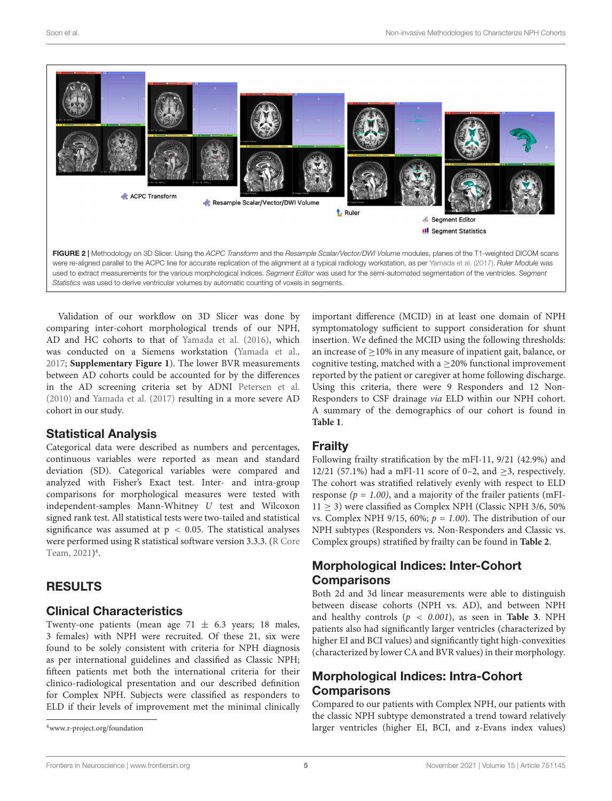

<span id="page-4-0"></span>Validation of our workflow on 3D Slicer was done by comparing inter-cohort morphological trends of our NPH, AD and HC cohorts to that of [Yamada et al.](#page-11-4) [\(2016\)](#page-11-4), which was conducted on a Siemens workstation [\(Yamada et al.,](#page-11-3) [2017;](#page-11-3) **[Supplementary Figure 1](#page-9-0)**). The lower BVR measurements between AD cohorts could be accounted for by the differences in the AD screening criteria set by ADNI [Petersen et al.](#page-10-20) [\(2010\)](#page-10-20) and [Yamada et al.](#page-11-3) [\(2017\)](#page-11-3) resulting in a more severe AD cohort in our study.

### Statistical Analysis

Categorical data were described as numbers and percentages, continuous variables were reported as mean and standard deviation (SD). Categorical variables were compared and analyzed with Fisher's Exact test. Inter- and intra-group comparisons for morphological measures were tested with independent-samples Mann-Whitney U test and Wilcoxon signed rank test. All statistical tests were two-tailed and statistical significance was assumed at  $p < 0.05$ . The statistical analyses were performed using R statistical software version 3.3.3. [\(R Core](#page-10-25) [Team,](#page-10-25) [2021\)](#page-10-25) [4](#page-4-1) .

# RESULTS

# Clinical Characteristics

Twenty-one patients (mean age 71  $\pm$  6.3 years; 18 males, 3 females) with NPH were recruited. Of these 21, six were found to be solely consistent with criteria for NPH diagnosis as per international guidelines and classified as Classic NPH; fifteen patients met both the international criteria for their clinico-radiological presentation and our described definition for Complex NPH. Subjects were classified as responders to ELD if their levels of improvement met the minimal clinically

<span id="page-4-1"></span><sup>4</sup>[www.r-project.org/foundation](http://www.r-project.org/foundation)

important difference (MCID) in at least one domain of NPH symptomatology sufficient to support consideration for shunt insertion. We defined the MCID using the following thresholds: an increase of ≥10% in any measure of inpatient gait, balance, or cognitive testing, matched with a  $\geq$ 20% functional improvement reported by the patient or caregiver at home following discharge. Using this criteria, there were 9 Responders and 12 Non-Responders to CSF drainage via ELD within our NPH cohort. A summary of the demographics of our cohort is found in **[Table 1](#page-2-2)**.

### Frailty

Following frailty stratification by the mFI-11, 9/21 (42.9%) and 12/21 (57.1%) had a mFI-11 score of 0–2, and  $>$ 3, respectively. The cohort was stratified relatively evenly with respect to ELD response ( $p = 1.00$ ), and a majority of the frailer patients (mFI-11 ≥ 3) were classified as Complex NPH (Classic NPH 3/6, 50% vs. Complex NPH 9/15, 60%;  $p = 1.00$ ). The distribution of our NPH subtypes (Responders vs. Non-Responders and Classic vs. Complex groups) stratified by frailty can be found in **[Table 2](#page-5-0)**.

# Morphological Indices: Inter-Cohort **Comparisons**

Both 2d and 3d linear measurements were able to distinguish between disease cohorts (NPH vs. AD), and between NPH and healthy controls  $(p < 0.001)$ , as seen in **[Table 3](#page-5-1)**. NPH patients also had significantly larger ventricles (characterized by higher EI and BCI values) and significantly tight high-convexities (characterized by lower CA and BVR values) in their morphology.

# Morphological Indices: Intra-Cohort **Comparisons**

Compared to our patients with Complex NPH, our patients with the classic NPH subtype demonstrated a trend toward relatively larger ventricles (higher EI, BCI, and z-Evans index values)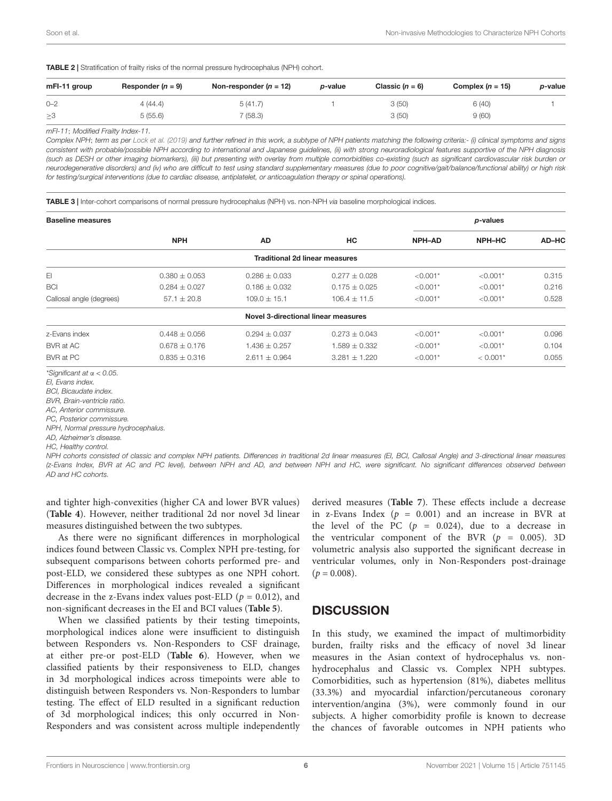<span id="page-5-0"></span>TABLE 2 | Stratification of frailty risks of the normal pressure hydrocephalus (NPH) cohort.

| mFI-11 group | Responder $(n = 9)$ | Non-responder $(n = 12)$ | <i>p</i> -value | Classic $(n = 6)$ | Complex $(n = 15)$ | p-value |
|--------------|---------------------|--------------------------|-----------------|-------------------|--------------------|---------|
| $O - 2$      | 4 (44.4)            | 5(41.7)                  |                 | 3(50)             | 6(40)              |         |
| $\geq$ 3     | 5(55.6)             | (58.3)                   |                 | 3(50)             | 9(60)              |         |

mFI-11; Modified Frailty Index-11.

Complex NPH; term as per [Lock et al.](#page-10-10) [\(2019\)](#page-10-10) and further refined in this work, a subtype of NPH patients matching the following criteria:- (i) clinical symptoms and signs consistent with probable/possible NPH according to international and Japanese guidelines, (ii) with strong neuroradiological features supportive of the NPH diagnosis (such as DESH or other imaging biomarkers), (iii) but presenting with overlay from multiple comorbidities co-existing (such as significant cardiovascular risk burden or neurodegenerative disorders) and (iv) who are difficult to test using standard supplementary measures (due to poor cognitive/gait/balance/functional ability) or high risk for testing/surgical interventions (due to cardiac disease, antiplatelet, or anticoagulation therapy or spinal operations).

<span id="page-5-1"></span>TABLE 3 | Inter-cohort comparisons of normal pressure hydrocephalus (NPH) vs. non-NPH via baseline morphological indices.

| <b>Baseline measures</b> |                   |                                       |                   |               | p-values      |       |
|--------------------------|-------------------|---------------------------------------|-------------------|---------------|---------------|-------|
|                          | <b>NPH</b>        | AD                                    | HC                | <b>NPH-AD</b> | <b>NPH-HC</b> | AD-HC |
|                          |                   | <b>Traditional 2d linear measures</b> |                   |               |               |       |
| EI                       | $0.380 + 0.053$   | $0.286 + 0.033$                       | $0.277 + 0.028$   | $< 0.001*$    | $< 0.001*$    | 0.315 |
| <b>BCI</b>               | $0.284 \pm 0.027$ | $0.186 \pm 0.032$                     | $0.175 \pm 0.025$ | $< 0.001*$    | $< 0.001*$    | 0.216 |
| Callosal angle (degrees) | $57.1 \pm 20.8$   | $109.0 \pm 15.1$                      | $106.4 + 11.5$    | $< 0.001*$    | $< 0.001*$    | 0.528 |
|                          |                   | Novel 3-directional linear measures   |                   |               |               |       |
| z-Evans index            | $0.448 \pm 0.056$ | $0.294 \pm 0.037$                     | $0.273 + 0.043$   | $< 0.001*$    | $< 0.001*$    | 0.096 |
| BVR at AC                | $0.678 \pm 0.176$ | $1.436 \pm 0.257$                     | $1.589 \pm 0.332$ | $< 0.001*$    | $< 0.001*$    | 0.104 |
| BVR at PC                | $0.835 \pm 0.316$ | $2.611 \pm 0.964$                     | $3.281 \pm 1.220$ | $< 0.001*$    | $< 0.001*$    | 0.055 |

\*Significant at  $\alpha$  < 0.05.

EI, Evans index.

BCI, Bicaudate index.

BVR, Brain-ventricle ratio.

AC, Anterior commissure.

PC, Posterior commissure. NPH, Normal pressure hydrocephalus.

AD, Alzheimer's disease.

HC, Healthy control.

NPH cohorts consisted of classic and complex NPH patients. Differences in traditional 2d linear measures (EI, BCI, Callosal Angle) and 3-directional linear measures (z-Evans Index, BVR at AC and PC level), between NPH and AD, and between NPH and HC, were significant. No significant differences observed between AD and HC cohorts.

and tighter high-convexities (higher CA and lower BVR values) (**[Table 4](#page-6-0)**). However, neither traditional 2d nor novel 3d linear measures distinguished between the two subtypes.

As there were no significant differences in morphological indices found between Classic vs. Complex NPH pre-testing, for subsequent comparisons between cohorts performed pre- and post-ELD, we considered these subtypes as one NPH cohort. Differences in morphological indices revealed a significant decrease in the z-Evans index values post-ELD ( $p = 0.012$ ), and non-significant decreases in the EI and BCI values (**[Table 5](#page-7-0)**).

When we classified patients by their testing timepoints, morphological indices alone were insufficient to distinguish between Responders vs. Non-Responders to CSF drainage, at either pre-or post-ELD (**[Table 6](#page-7-1)**). However, when we classified patients by their responsiveness to ELD, changes in 3d morphological indices across timepoints were able to distinguish between Responders vs. Non-Responders to lumbar testing. The effect of ELD resulted in a significant reduction of 3d morphological indices; this only occurred in Non-Responders and was consistent across multiple independently

derived measures (**[Table 7](#page-8-0)**). These effects include a decrease in z-Evans Index  $(p = 0.001)$  and an increase in BVR at the level of the PC  $(p = 0.024)$ , due to a decrease in the ventricular component of the BVR  $(p = 0.005)$ . 3D volumetric analysis also supported the significant decrease in ventricular volumes, only in Non-Responders post-drainage  $(p = 0.008)$ .

### **DISCUSSION**

In this study, we examined the impact of multimorbidity burden, frailty risks and the efficacy of novel 3d linear measures in the Asian context of hydrocephalus vs. nonhydrocephalus and Classic vs. Complex NPH subtypes. Comorbidities, such as hypertension (81%), diabetes mellitus (33.3%) and myocardial infarction/percutaneous coronary intervention/angina (3%), were commonly found in our subjects. A higher comorbidity profile is known to decrease the chances of favorable outcomes in NPH patients who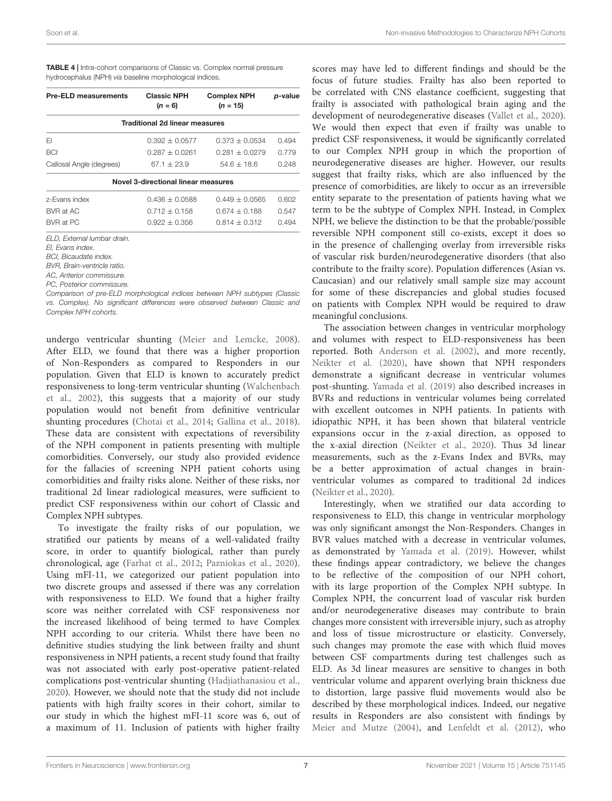| <b>Pre-ELD measurements</b>         | <b>Classic NPH</b><br>$(n = 6)$       | <b>Complex NPH</b><br>$(n = 15)$ | p-value |  |  |  |  |
|-------------------------------------|---------------------------------------|----------------------------------|---------|--|--|--|--|
|                                     | <b>Traditional 2d linear measures</b> |                                  |         |  |  |  |  |
| FI                                  | $0.392 + 0.0577$                      | $0.373 + 0.0534$                 | 0.494   |  |  |  |  |
| <b>BCI</b>                          | $0.287 + 0.0261$                      | $0.281 + 0.0279$                 | 0.779   |  |  |  |  |
| Callosal Angle (degrees)            | $67.1 + 23.9$                         | $54.6 + 18.6$                    | 0.248   |  |  |  |  |
| Novel 3-directional linear measures |                                       |                                  |         |  |  |  |  |
| z-Evans index                       | $0.436 + 0.0588$                      | $0.449 + 0.0565$                 | 0.602   |  |  |  |  |
| BVR at AC                           | $0.712 + 0.158$                       | $0.674 + 0.188$                  | 0.547   |  |  |  |  |

BVR at PC 0.922 ± 0.356 0.814 ± 0.312 0.494

<span id="page-6-0"></span>TABLE 4 | Intra-cohort comparisons of Classic vs. Complex normal pressure hydrocephalus (NPH) via baseline morphological indices.

ELD, External lumbar drain.

EI, Evans index.

BCI, Bicaudate index.

BVR, Brain-ventricle ratio.

AC, Anterior commissure.

PC, Posterior commissure.

Comparison of pre-ELD morphological indices between NPH subtypes (Classic vs. Complex). No significant differences were observed between Classic and Complex NPH cohorts.

undergo ventricular shunting [\(Meier and Lemcke,](#page-10-26) [2008\)](#page-10-26). After ELD, we found that there was a higher proportion of Non-Responders as compared to Responders in our population. Given that ELD is known to accurately predict responsiveness to long-term ventricular shunting [\(Walchenbach](#page-11-0) [et al.,](#page-11-0) [2002\)](#page-11-0), this suggests that a majority of our study population would not benefit from definitive ventricular shunting procedures [\(Chotai et al.,](#page-10-15) [2014;](#page-10-15) [Gallina et al.,](#page-10-13) [2018\)](#page-10-13). These data are consistent with expectations of reversibility of the NPH component in patients presenting with multiple comorbidities. Conversely, our study also provided evidence for the fallacies of screening NPH patient cohorts using comorbidities and frailty risks alone. Neither of these risks, nor traditional 2d linear radiological measures, were sufficient to predict CSF responsiveness within our cohort of Classic and Complex NPH subtypes.

To investigate the frailty risks of our population, we stratified our patients by means of a well-validated frailty score, in order to quantify biological, rather than purely chronological, age [\(Farhat et al.,](#page-10-27) [2012;](#page-10-27) [Pazniokas et al.,](#page-10-22) [2020\)](#page-10-22). Using mFI-11, we categorized our patient population into two discrete groups and assessed if there was any correlation with responsiveness to ELD. We found that a higher frailty score was neither correlated with CSF responsiveness nor the increased likelihood of being termed to have Complex NPH according to our criteria. Whilst there have been no definitive studies studying the link between frailty and shunt responsiveness in NPH patients, a recent study found that frailty was not associated with early post-operative patient-related complications post-ventricular shunting [\(Hadjiathanasiou et al.,](#page-10-28) [2020\)](#page-10-28). However, we should note that the study did not include patients with high frailty scores in their cohort, similar to our study in which the highest mFI-11 score was 6, out of a maximum of 11. Inclusion of patients with higher frailty scores may have led to different findings and should be the focus of future studies. Frailty has also been reported to be correlated with CNS elastance coefficient, suggesting that frailty is associated with pathological brain aging and the development of neurodegenerative diseases [\(Vallet et al.,](#page-11-5) [2020\)](#page-11-5). We would then expect that even if frailty was unable to predict CSF responsiveness, it would be significantly correlated to our Complex NPH group in which the proportion of neurodegenerative diseases are higher. However, our results suggest that frailty risks, which are also influenced by the presence of comorbidities, are likely to occur as an irreversible entity separate to the presentation of patients having what we term to be the subtype of Complex NPH. Instead, in Complex NPH, we believe the distinction to be that the probable/possible reversible NPH component still co-exists, except it does so in the presence of challenging overlay from irreversible risks of vascular risk burden/neurodegenerative disorders (that also contribute to the frailty score). Population differences (Asian vs. Caucasian) and our relatively small sample size may account for some of these discrepancies and global studies focused on patients with Complex NPH would be required to draw meaningful conclusions.

The association between changes in ventricular morphology and volumes with respect to ELD-responsiveness has been reported. Both [Anderson et al.](#page-10-29) [\(2002\)](#page-10-29), and more recently, [Neikter et al.](#page-10-30) [\(2020\)](#page-10-30), have shown that NPH responders demonstrate a significant decrease in ventricular volumes post-shunting. [Yamada et al.](#page-11-6) [\(2019\)](#page-11-6) also described increases in BVRs and reductions in ventricular volumes being correlated with excellent outcomes in NPH patients. In patients with idiopathic NPH, it has been shown that bilateral ventricle expansions occur in the z-axial direction, as opposed to the x-axial direction [\(Neikter et al.,](#page-10-30) [2020\)](#page-10-30). Thus 3d linear measurements, such as the z-Evans Index and BVRs, may be a better approximation of actual changes in brainventricular volumes as compared to traditional 2d indices [\(Neikter et al.,](#page-10-30) [2020\)](#page-10-30).

Interestingly, when we stratified our data according to responsiveness to ELD, this change in ventricular morphology was only significant amongst the Non-Responders. Changes in BVR values matched with a decrease in ventricular volumes, as demonstrated by [Yamada et al.](#page-11-6) [\(2019\)](#page-11-6). However, whilst these findings appear contradictory, we believe the changes to be reflective of the composition of our NPH cohort, with its large proportion of the Complex NPH subtype. In Complex NPH, the concurrent load of vascular risk burden and/or neurodegenerative diseases may contribute to brain changes more consistent with irreversible injury, such as atrophy and loss of tissue microstructure or elasticity. Conversely, such changes may promote the ease with which fluid moves between CSF compartments during test challenges such as ELD. As 3d linear measures are sensitive to changes in both ventricular volume and apparent overlying brain thickness due to distortion, large passive fluid movements would also be described by these morphological indices. Indeed, our negative results in Responders are also consistent with findings by [Meier and Mutze](#page-10-31) [\(2004\)](#page-10-31), and [Lenfeldt et al.](#page-10-32) [\(2012\)](#page-10-32), who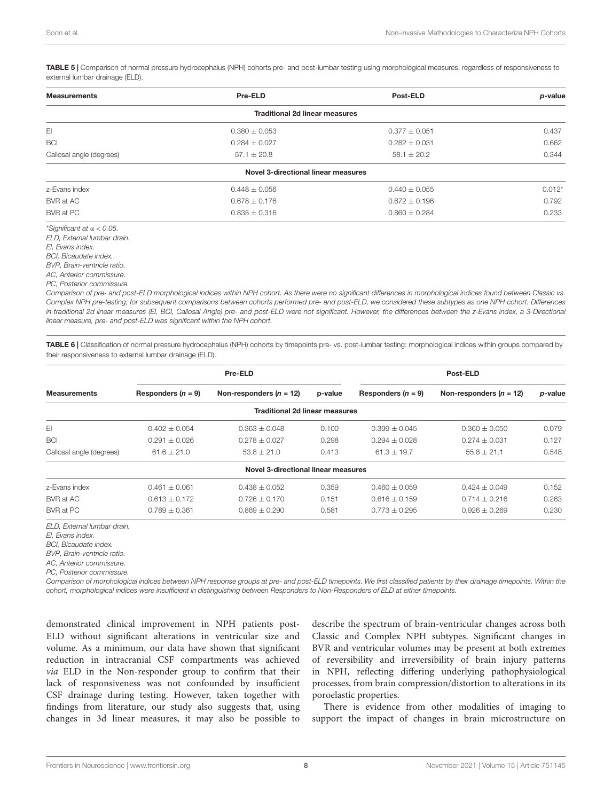<span id="page-7-0"></span>TABLE 5 | Comparison of normal pressure hydrocephalus (NPH) cohorts pre- and post-lumbar testing using morphological measures, regardless of responsiveness to external lumbar drainage (ELD).

| <b>Measurements</b>              | Pre-ELD                               | Post-ELD          | p-value  |
|----------------------------------|---------------------------------------|-------------------|----------|
|                                  | <b>Traditional 2d linear measures</b> |                   |          |
| EI                               | $0.380 \pm 0.053$                     | $0.377 \pm 0.051$ | 0.437    |
| <b>BCI</b>                       | $0.284 \pm 0.027$                     | $0.282 \pm 0.031$ | 0.662    |
| Callosal angle (degrees)         | $57.1 \pm 20.8$                       | $58.1 \pm 20.2$   | 0.344    |
|                                  | Novel 3-directional linear measures   |                   |          |
| z-Evans index                    | $0.448 \pm 0.056$                     | $0.440 \pm 0.055$ | $0.012*$ |
| BVR at AC                        | $0.678 \pm 0.176$                     | $0.672 \pm 0.196$ | 0.792    |
| BVR at PC                        | $0.835 \pm 0.316$                     | $0.860 \pm 0.284$ | 0.233    |
| *Significant at $\alpha$ < 0.05. |                                       |                   |          |
| ELD, External lumbar drain.      |                                       |                   |          |
| El, Evans index.                 |                                       |                   |          |
| RCL Ricaudate index              |                                       |                   |          |

BCI, Bicaudate index. BVR, Brain-ventricle ratio.

AC, Anterior commissure.

PC, Posterior commissure.

Comparison of pre- and post-ELD morphological indices within NPH cohort. As there were no significant differences in morphological indices found between Classic vs. Complex NPH pre-testing, for subsequent comparisons between cohorts performed pre- and post-ELD, we considered these subtypes as one NPH cohort. Differences in traditional 2d linear measures (EI, BCI, Callosal Angle) pre- and post-ELD were not significant. However, the differences between the z-Evans index, a 3-Directional linear measure, pre- and post-ELD was significant within the NPH cohort.

<span id="page-7-1"></span>TABLE 6 | Classification of normal pressure hydrocephalus (NPH) cohorts by timepoints pre- vs. post-lumbar testing: morphological indices within groups compared by their responsiveness to external lumbar drainage (ELD).

|                          | Pre-ELD              |                                       |         | Post-ELD             |                           |         |  |
|--------------------------|----------------------|---------------------------------------|---------|----------------------|---------------------------|---------|--|
| <b>Measurements</b>      | Responders $(n = 9)$ | Non-responders $(n = 12)$             | p-value | Responders $(n = 9)$ | Non-responders $(n = 12)$ | p-value |  |
|                          |                      | <b>Traditional 2d linear measures</b> |         |                      |                           |         |  |
| EI                       | $0.402 + 0.054$      | $0.363 + 0.048$                       | 0.100   | $0.399 \pm 0.045$    | $0.360 \pm 0.050$         | 0.079   |  |
| <b>BCI</b>               | $0.291 + 0.026$      | $0.278 + 0.027$                       | 0.298   | $0.294 \pm 0.028$    | $0.274 + 0.031$           | 0.127   |  |
| Callosal angle (degrees) | $61.6 \pm 21.0$      | $53.8 \pm 21.0$                       | 0.413   | $61.3 \pm 19.7$      | $55.8 \pm 21.1$           | 0.548   |  |
|                          |                      | Novel 3-directional linear measures   |         |                      |                           |         |  |
| z-Evans index            | $0.461 \pm 0.061$    | $0.438 + 0.052$                       | 0.359   | $0.460 \pm 0.059$    | $0.424 \pm 0.049$         | 0.152   |  |
| BVR at AC                | $0.613 \pm 0.172$    | $0.726 \pm 0.170$                     | 0.151   | $0.616 \pm 0.159$    | $0.714 \pm 0.216$         | 0.263   |  |
| BVR at PC                | $0.789 \pm 0.361$    | $0.869 + 0.290$                       | 0.581   | $0.773 + 0.295$      | $0.926 + 0.269$           | 0.230   |  |

ELD, External lumbar drain.

EI, Evans index.

BCI, Bicaudate index.

BVR, Brain-ventricle ratio.

AC, Anterior commissure.

PC, Posterior commissure.

Comparison of morphological indices between NPH response groups at pre- and post-ELD timepoints. We first classified patients by their drainage timepoints. Within the cohort, morphological indices were insufficient in distinguishing between Responders to Non-Responders of ELD at either timepoints.

demonstrated clinical improvement in NPH patients post-ELD without significant alterations in ventricular size and volume. As a minimum, our data have shown that significant reduction in intracranial CSF compartments was achieved via ELD in the Non-responder group to confirm that their lack of responsiveness was not confounded by insufficient CSF drainage during testing. However, taken together with findings from literature, our study also suggests that, using changes in 3d linear measures, it may also be possible to

describe the spectrum of brain-ventricular changes across both Classic and Complex NPH subtypes. Significant changes in BVR and ventricular volumes may be present at both extremes of reversibility and irreversibility of brain injury patterns in NPH, reflecting differing underlying pathophysiological processes, from brain compression/distortion to alterations in its poroelastic properties.

There is evidence from other modalities of imaging to support the impact of changes in brain microstructure on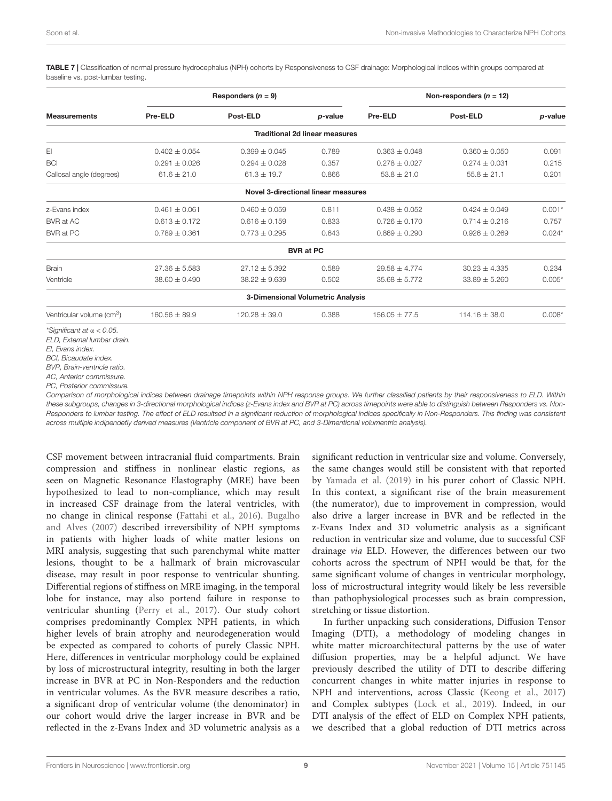<span id="page-8-0"></span>TABLE 7 | Classification of normal pressure hydrocephalus (NPH) cohorts by Responsiveness to CSF drainage: Morphological indices within groups compared at baseline vs. post-lumbar testing.

|                                                                 | Responders $(n = 9)$ |                                     | Non-responders $(n = 12)$             |                   |                   |          |
|-----------------------------------------------------------------|----------------------|-------------------------------------|---------------------------------------|-------------------|-------------------|----------|
| <b>Measurements</b>                                             | Pre-ELD              | Post-ELD                            | p-value                               | Pre-ELD           | Post-ELD          | p-value  |
|                                                                 |                      |                                     | <b>Traditional 2d linear measures</b> |                   |                   |          |
| EI                                                              | $0.402 \pm 0.054$    | $0.399 \pm 0.045$                   | 0.789                                 | $0.363 \pm 0.048$ | $0.360 \pm 0.050$ | 0.091    |
| <b>BCI</b>                                                      | $0.291 \pm 0.026$    | $0.294 \pm 0.028$                   | 0.357                                 | $0.278 \pm 0.027$ | $0.274 \pm 0.031$ | 0.215    |
| Callosal angle (degrees)                                        | $61.6 \pm 21.0$      | $61.3 \pm 19.7$                     | 0.866                                 | $53.8 \pm 21.0$   | $55.8 \pm 21.1$   | 0.201    |
|                                                                 |                      | Novel 3-directional linear measures |                                       |                   |                   |          |
| z-Evans index                                                   | $0.461 \pm 0.061$    | $0.460 \pm 0.059$                   | 0.811                                 | $0.438 \pm 0.052$ | $0.424 \pm 0.049$ | $0.001*$ |
| BVR at AC                                                       | $0.613 \pm 0.172$    | $0.616 \pm 0.159$                   | 0.833                                 | $0.726 \pm 0.170$ | $0.714 \pm 0.216$ | 0.757    |
| BVR at PC                                                       | $0.789 \pm 0.361$    | $0.773 \pm 0.295$                   | 0.643                                 | $0.869 \pm 0.290$ | $0.926 \pm 0.269$ | $0.024*$ |
|                                                                 |                      |                                     | <b>BVR at PC</b>                      |                   |                   |          |
| <b>Brain</b>                                                    | $27.36 \pm 5.583$    | $27.12 \pm 5.392$                   | 0.589                                 | $29.58 \pm 4.774$ | $30.23 \pm 4.335$ | 0.234    |
| Ventricle                                                       | $38.60 \pm 0.490$    | $38.22 \pm 9.639$                   | 0.502                                 | $35.68 \pm 5.772$ | $33.89 \pm 5.260$ | $0.005*$ |
|                                                                 |                      | 3-Dimensional Volumetric Analysis   |                                       |                   |                   |          |
| Ventricular volume (cm <sup>3</sup> )                           | $160.56 \pm 89.9$    | $120.28 \pm 39.0$                   | 0.388                                 | $156.05 \pm 77.5$ | $114.16 \pm 38.0$ | $0.008*$ |
| *Significant at $\alpha$ < 0.05.<br>ELD. External lumbar drain. |                      |                                     |                                       |                   |                   |          |

EI, Evans index.

BCI, Bicaudate index.

BVR, Brain-ventricle ratio.

AC, Anterior commissure.

PC, Posterior commissure.

Comparison of morphological indices between drainage timepoints within NPH response groups. We further classified patients by their responsiveness to ELD. Within these subgroups, changes in 3-directional morphological indices (z-Evans index and BVR at PC) across timepoints were able to distinguish between Responders vs. Non-Responders to lumbar testing. The effect of ELD resultsed in a significant reduction of morphological indices specifically in Non-Responders. This finding was consistent across multiple indipendetly derived measures (Ventricle component of BVR at PC, and 3-Dimentional volumentric analysis).

CSF movement between intracranial fluid compartments. Brain compression and stiffness in nonlinear elastic regions, as seen on Magnetic Resonance Elastography (MRE) have been hypothesized to lead to non-compliance, which may result in increased CSF drainage from the lateral ventricles, with no change in clinical response [\(Fattahi et al.,](#page-10-33) [2016\)](#page-10-33). [Bugalho](#page-10-34) [and Alves](#page-10-34) [\(2007\)](#page-10-34) described irreversibility of NPH symptoms in patients with higher loads of white matter lesions on MRI analysis, suggesting that such parenchymal white matter lesions, thought to be a hallmark of brain microvascular disease, may result in poor response to ventricular shunting. Differential regions of stiffness on MRE imaging, in the temporal lobe for instance, may also portend failure in response to ventricular shunting [\(Perry et al.,](#page-10-35) [2017\)](#page-10-35). Our study cohort comprises predominantly Complex NPH patients, in which higher levels of brain atrophy and neurodegeneration would be expected as compared to cohorts of purely Classic NPH. Here, differences in ventricular morphology could be explained by loss of microstructural integrity, resulting in both the larger increase in BVR at PC in Non-Responders and the reduction in ventricular volumes. As the BVR measure describes a ratio, a significant drop of ventricular volume (the denominator) in our cohort would drive the larger increase in BVR and be reflected in the z-Evans Index and 3D volumetric analysis as a

significant reduction in ventricular size and volume. Conversely, the same changes would still be consistent with that reported by [Yamada et al.](#page-11-6) [\(2019\)](#page-11-6) in his purer cohort of Classic NPH. In this context, a significant rise of the brain measurement (the numerator), due to improvement in compression, would also drive a larger increase in BVR and be reflected in the z-Evans Index and 3D volumetric analysis as a significant reduction in ventricular size and volume, due to successful CSF drainage via ELD. However, the differences between our two cohorts across the spectrum of NPH would be that, for the same significant volume of changes in ventricular morphology, loss of microstructural integrity would likely be less reversible than pathophysiological processes such as brain compression, stretching or tissue distortion.

In further unpacking such considerations, Diffusion Tensor Imaging (DTI), a methodology of modeling changes in white matter microarchitectural patterns by the use of water diffusion properties, may be a helpful adjunct. We have previously described the utility of DTI to describe differing concurrent changes in white matter injuries in response to NPH and interventions, across Classic [\(Keong et al.,](#page-10-36) [2017\)](#page-10-36) and Complex subtypes [\(Lock et al.,](#page-10-10) [2019\)](#page-10-10). Indeed, in our DTI analysis of the effect of ELD on Complex NPH patients, we described that a global reduction of DTI metrics across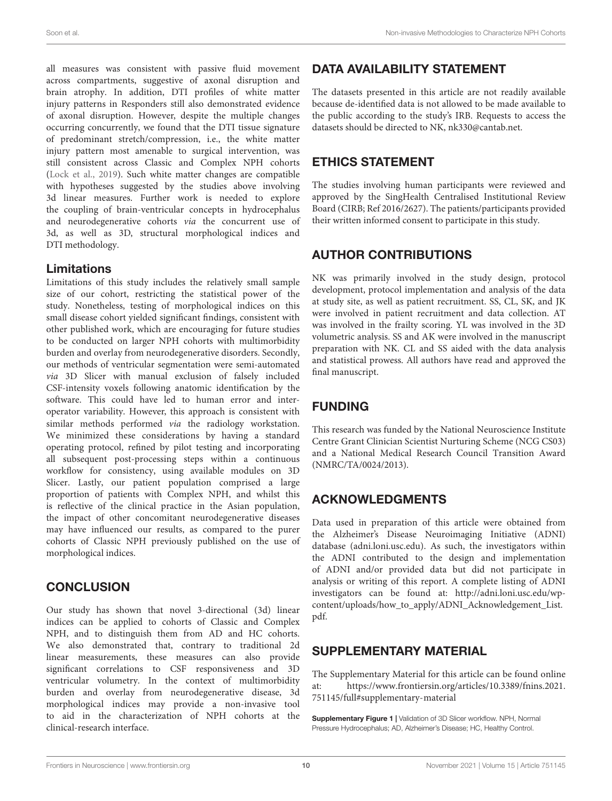all measures was consistent with passive fluid movement across compartments, suggestive of axonal disruption and brain atrophy. In addition, DTI profiles of white matter injury patterns in Responders still also demonstrated evidence of axonal disruption. However, despite the multiple changes occurring concurrently, we found that the DTI tissue signature of predominant stretch/compression, i.e., the white matter injury pattern most amenable to surgical intervention, was still consistent across Classic and Complex NPH cohorts [\(Lock et al.,](#page-10-10) [2019\)](#page-10-10). Such white matter changes are compatible with hypotheses suggested by the studies above involving 3d linear measures. Further work is needed to explore the coupling of brain-ventricular concepts in hydrocephalus and neurodegenerative cohorts via the concurrent use of 3d, as well as 3D, structural morphological indices and DTI methodology.

### Limitations

Limitations of this study includes the relatively small sample size of our cohort, restricting the statistical power of the study. Nonetheless, testing of morphological indices on this small disease cohort yielded significant findings, consistent with other published work, which are encouraging for future studies to be conducted on larger NPH cohorts with multimorbidity burden and overlay from neurodegenerative disorders. Secondly, our methods of ventricular segmentation were semi-automated via 3D Slicer with manual exclusion of falsely included CSF-intensity voxels following anatomic identification by the software. This could have led to human error and interoperator variability. However, this approach is consistent with similar methods performed via the radiology workstation. We minimized these considerations by having a standard operating protocol, refined by pilot testing and incorporating all subsequent post-processing steps within a continuous workflow for consistency, using available modules on 3D Slicer. Lastly, our patient population comprised a large proportion of patients with Complex NPH, and whilst this is reflective of the clinical practice in the Asian population, the impact of other concomitant neurodegenerative diseases may have influenced our results, as compared to the purer cohorts of Classic NPH previously published on the use of morphological indices.

# **CONCLUSION**

Our study has shown that novel 3-directional (3d) linear indices can be applied to cohorts of Classic and Complex NPH, and to distinguish them from AD and HC cohorts. We also demonstrated that, contrary to traditional 2d linear measurements, these measures can also provide significant correlations to CSF responsiveness and 3D ventricular volumetry. In the context of multimorbidity burden and overlay from neurodegenerative disease, 3d morphological indices may provide a non-invasive tool to aid in the characterization of NPH cohorts at the clinical-research interface.

# DATA AVAILABILITY STATEMENT

The datasets presented in this article are not readily available because de-identified data is not allowed to be made available to the public according to the study's IRB. Requests to access the datasets should be directed to NK, [nk330@cantab.net.](mailto:nk330@cantab.net)

# ETHICS STATEMENT

The studies involving human participants were reviewed and approved by the SingHealth Centralised Institutional Review Board (CIRB; Ref 2016/2627). The patients/participants provided their written informed consent to participate in this study.

# AUTHOR CONTRIBUTIONS

NK was primarily involved in the study design, protocol development, protocol implementation and analysis of the data at study site, as well as patient recruitment. SS, CL, SK, and JK were involved in patient recruitment and data collection. AT was involved in the frailty scoring. YL was involved in the 3D volumetric analysis. SS and AK were involved in the manuscript preparation with NK. CL and SS aided with the data analysis and statistical prowess. All authors have read and approved the final manuscript.

# FUNDING

This research was funded by the National Neuroscience Institute Centre Grant Clinician Scientist Nurturing Scheme (NCG CS03) and a National Medical Research Council Transition Award (NMRC/TA/0024/2013).

# ACKNOWLEDGMENTS

Data used in preparation of this article were obtained from the Alzheimer's Disease Neuroimaging Initiative (ADNI) database [\(adni.loni.usc.edu\)](http://adni.loni.usc.edu). As such, the investigators within the ADNI contributed to the design and implementation of ADNI and/or provided data but did not participate in analysis or writing of this report. A complete listing of ADNI investigators can be found at: [http://adni.loni.usc.edu/wp](http://adni.loni.usc.edu/wp-content/uploads/how_to_apply/ADNI_Acknowledgement_List.pdf)[content/uploads/how\\_to\\_apply/ADNI\\_Acknowledgement\\_List.](http://adni.loni.usc.edu/wp-content/uploads/how_to_apply/ADNI_Acknowledgement_List.pdf) [pdf.](http://adni.loni.usc.edu/wp-content/uploads/how_to_apply/ADNI_Acknowledgement_List.pdf)

# <span id="page-9-0"></span>SUPPLEMENTARY MATERIAL

The Supplementary Material for this article can be found online at: [https://www.frontiersin.org/articles/10.3389/fnins.2021.](https://www.frontiersin.org/articles/10.3389/fnins.2021.751145/full#supplementary-material) [751145/full#supplementary-material](https://www.frontiersin.org/articles/10.3389/fnins.2021.751145/full#supplementary-material)

**Supplementary Figure 1 | Validation of 3D Slicer workflow. NPH, Normal** Pressure Hydrocephalus; AD, Alzheimer's Disease; HC, Healthy Control.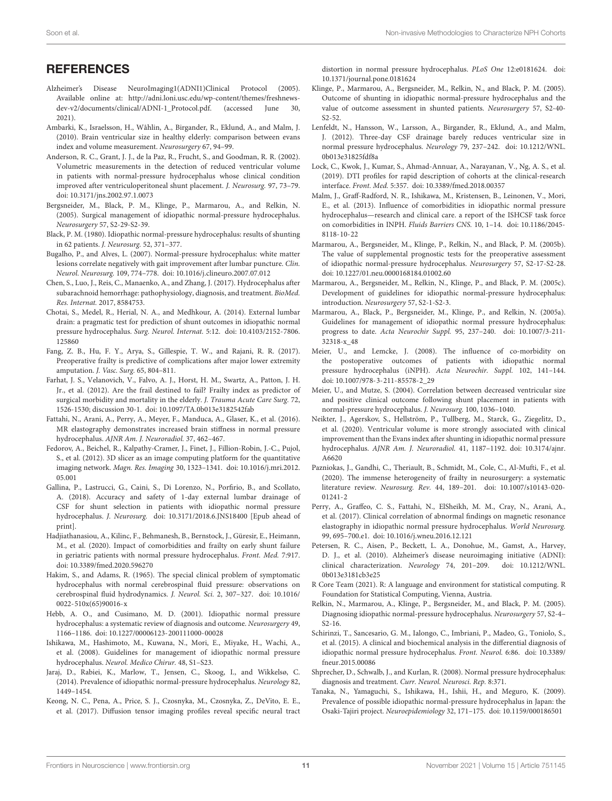#### Soon et al. Non-invasive Methodologies to Characterize NPH Cohorts

#### **REFERENCES**

- <span id="page-10-19"></span>Alzheimer's Disease NeuroImaging1(ADNI1)Clinical Protocol (2005). Available online at: [http://adni.loni.usc.edu/wp-content/themes/freshnews](http://adni.loni.usc.edu/wp-content/themes/freshnews-dev-v2/documents/clinical/ADNI-1_Protocol.pdf.)[dev-v2/documents/clinical/ADNI-1\\_Protocol.pdf.](http://adni.loni.usc.edu/wp-content/themes/freshnews-dev-v2/documents/clinical/ADNI-1_Protocol.pdf.) (accessed June 30, 2021).
- <span id="page-10-18"></span>Ambarki, K., Israelsson, H., Wåhlin, A., Birgander, R., Eklund, A., and Malm, J. (2010). Brain ventricular size in healthy elderly: comparison between evans index and volume measurement. Neurosurgery 67, 94–99.
- <span id="page-10-29"></span>Anderson, R. C., Grant, J. J., de la Paz, R., Frucht, S., and Goodman, R. R. (2002). Volumetric measurements in the detection of reduced ventricular volume in patients with normal-pressure hydrocephalus whose clinical condition improved after ventriculoperitoneal shunt placement. J. Neurosurg. 97, 73–79. [doi: 10.3171/jns.2002.97.1.0073](https://doi.org/10.3171/jns.2002.97.1.0073)
- <span id="page-10-6"></span>Bergsneider, M., Black, P. M., Klinge, P., Marmarou, A., and Relkin, N. (2005). Surgical management of idiopathic normal-pressure hydrocephalus. Neurosurgery 57, S2-29-S2-39.
- <span id="page-10-17"></span>Black, P. M. (1980). Idiopathic normal-pressure hydrocephalus: results of shunting in 62 patients. J. Neurosurg. 52, 371–377.
- <span id="page-10-34"></span>Bugalho, P., and Alves, L. (2007). Normal-pressure hydrocephalus: white matter lesions correlate negatively with gait improvement after lumbar puncture. Clin. Neurol. Neurosurg. 109, 774–778. [doi: 10.1016/j.clineuro.2007.07.012](https://doi.org/10.1016/j.clineuro.2007.07.012)
- <span id="page-10-24"></span>Chen, S., Luo, J., Reis, C., Manaenko, A., and Zhang, J. (2017). Hydrocephalus after subarachnoid hemorrhage: pathophysiology, diagnosis, and treatment. BioMed. Res. Internat. 2017, 8584753.
- <span id="page-10-15"></span>Chotai, S., Medel, R., Herial, N. A., and Medhkour, A. (2014). External lumbar drain: a pragmatic test for prediction of shunt outcomes in idiopathic normal pressure hydrocephalus. Surg. Neurol. Internat. 5:12. [doi: 10.4103/2152-7806.](https://doi.org/10.4103/2152-7806.125860) [125860](https://doi.org/10.4103/2152-7806.125860)
- <span id="page-10-21"></span>Fang, Z. B., Hu, F. Y., Arya, S., Gillespie, T. W., and Rajani, R. R. (2017). Preoperative frailty is predictive of complications after major lower extremity amputation. J. Vasc. Surg. 65, 804–811.
- <span id="page-10-27"></span>Farhat, J. S., Velanovich, V., Falvo, A. J., Horst, H. M., Swartz, A., Patton, J. H. Jr., et al. (2012). Are the frail destined to fail? Frailty index as predictor of surgical morbidity and mortality in the elderly. J. Trauma Acute Care Surg. 72, 1526-1530; discussion 30-1. [doi: 10.1097/TA.0b013e3182542fab](https://doi.org/10.1097/TA.0b013e3182542fab)
- <span id="page-10-33"></span>Fattahi, N., Arani, A., Perry, A., Meyer, F., Manduca, A., Glaser, K., et al. (2016). MR elastography demonstrates increased brain stiffness in normal pressure hydrocephalus. AJNR Am. J. Neuroradiol. 37, 462–467.
- <span id="page-10-23"></span>Fedorov, A., Beichel, R., Kalpathy-Cramer, J., Finet, J., Fillion-Robin, J.-C., Pujol, S., et al. (2012). 3D slicer as an image computing platform for the quantitative imaging network. Magn. Res. Imaging 30, 1323–1341. [doi: 10.1016/j.mri.2012.](https://doi.org/10.1016/j.mri.2012.05.001) [05.001](https://doi.org/10.1016/j.mri.2012.05.001)
- <span id="page-10-13"></span>Gallina, P., Lastrucci, G., Caini, S., Di Lorenzo, N., Porfirio, B., and Scollato, A. (2018). Accuracy and safety of 1-day external lumbar drainage of CSF for shunt selection in patients with idiopathic normal pressure hydrocephalus. J. Neurosurg. [doi: 10.3171/2018.6.JNS18400](https://doi.org/10.3171/2018.6.JNS18400) [Epub ahead of print].
- <span id="page-10-28"></span>Hadjiathanasiou, A., Kilinc, F., Behmanesh, B., Bernstock, J., Güresir, E., Heimann, M., et al. (2020). Impact of comorbidities and frailty on early shunt failure in geriatric patients with normal pressure hydrocephalus. Front. Med. 7:917. [doi: 10.3389/fmed.2020.596270](https://doi.org/10.3389/fmed.2020.596270)
- <span id="page-10-0"></span>Hakim, S., and Adams, R. (1965). The special clinical problem of symptomatic hydrocephalus with normal cerebrospinal fluid pressure: observations on cerebrospinal fluid hydrodynamics. J. Neurol. Sci. 2, 307–327. [doi: 10.1016/](https://doi.org/10.1016/0022-510x(65)90016-x) [0022-510x\(65\)90016-x](https://doi.org/10.1016/0022-510x(65)90016-x)
- <span id="page-10-16"></span>Hebb, A. O., and Cusimano, M. D. (2001). Idiopathic normal pressure hydrocephalus: a systematic review of diagnosis and outcome. Neurosurgery 49, 1166–1186. [doi: 10.1227/00006123-200111000-00028](https://doi.org/10.1227/00006123-200111000-00028)
- <span id="page-10-12"></span>Ishikawa, M., Hashimoto, M., Kuwana, N., Mori, E., Miyake, H., Wachi, A., et al. (2008). Guidelines for management of idiopathic normal pressure hydrocephalus. Neurol. Medico Chirur. 48, S1–S23.
- <span id="page-10-4"></span>Jaraj, D., Rabiei, K., Marlow, T., Jensen, C., Skoog, I., and Wikkelsø, C. (2014). Prevalence of idiopathic normal-pressure hydrocephalus. Neurology 82, 1449–1454.
- <span id="page-10-36"></span>Keong, N. C., Pena, A., Price, S. J., Czosnyka, M., Czosnyka, Z., DeVito, E. E., et al. (2017). Diffusion tensor imaging profiles reveal specific neural tract

distortion in normal pressure hydrocephalus. PLoS One 12:e0181624. [doi:](https://doi.org/10.1371/journal.pone.0181624) [10.1371/journal.pone.0181624](https://doi.org/10.1371/journal.pone.0181624)

- <span id="page-10-7"></span>Klinge, P., Marmarou, A., Bergsneider, M., Relkin, N., and Black, P. M. (2005). Outcome of shunting in idiopathic normal-pressure hydrocephalus and the value of outcome assessment in shunted patients. Neurosurgery 57, S2-40- S2-52.
- <span id="page-10-32"></span>Lenfeldt, N., Hansson, W., Larsson, A., Birgander, R., Eklund, A., and Malm, J. (2012). Three-day CSF drainage barely reduces ventricular size in normal pressure hydrocephalus. Neurology 79, 237–242. [doi: 10.1212/WNL.](https://doi.org/10.1212/WNL.0b013e31825fdf8a) [0b013e31825fdf8a](https://doi.org/10.1212/WNL.0b013e31825fdf8a)
- <span id="page-10-10"></span>Lock, C., Kwok, J., Kumar, S., Ahmad-Annuar, A., Narayanan, V., Ng, A. S., et al. (2019). DTI profiles for rapid description of cohorts at the clinical-research interface. Front. Med. 5:357. [doi: 10.3389/fmed.2018.00357](https://doi.org/10.3389/fmed.2018.00357)
- <span id="page-10-5"></span>Malm, J., Graff-Radford, N. R., Ishikawa, M., Kristensen, B., Leinonen, V., Mori, E., et al. (2013). Influence of comorbidities in idiopathic normal pressure hydrocephalus—research and clinical care. a report of the ISHCSF task force on comorbidities in INPH. Fluids Barriers CNS. 10, 1–14. [doi: 10.1186/2045-](https://doi.org/10.1186/2045-8118-10-22) [8118-10-22](https://doi.org/10.1186/2045-8118-10-22)
- <span id="page-10-8"></span>Marmarou, A., Bergsneider, M., Klinge, P., Relkin, N., and Black, P. M. (2005b). The value of supplemental prognostic tests for the preoperative assessment of idiopathic normal-pressure hydrocephalus. Neurosurgery 57, S2-17-S2-28. [doi: 10.1227/01.neu.0000168184.01002.60](https://doi.org/10.1227/01.neu.0000168184.01002.60)
- <span id="page-10-9"></span>Marmarou, A., Bergsneider, M., Relkin, N., Klinge, P., and Black, P. M. (2005c). Development of guidelines for idiopathic normal-pressure hydrocephalus: introduction. Neurosurgery 57, S2-1-S2-3.
- <span id="page-10-14"></span>Marmarou, A., Black, P., Bergsneider, M., Klinge, P., and Relkin, N. (2005a). Guidelines for management of idiopathic normal pressure hydrocephalus: progress to date. Acta Neurochir Suppl. 95, 237–240. [doi: 10.1007/3-211-](https://doi.org/10.1007/3-211-32318-x_48) [32318-x\\_48](https://doi.org/10.1007/3-211-32318-x_48)
- <span id="page-10-26"></span>Meier, U., and Lemcke, J. (2008). The influence of co-morbidity on the postoperative outcomes of patients with idiopathic normal pressure hydrocephalus (iNPH). Acta Neurochir. Suppl. 102, 141–144. [doi: 10.1007/978-3-211-85578-2\\_29](https://doi.org/10.1007/978-3-211-85578-2_29)
- <span id="page-10-31"></span>Meier, U., and Mutze, S. (2004). Correlation between decreased ventricular size and positive clinical outcome following shunt placement in patients with normal-pressure hydrocephalus. J. Neurosurg. 100, 1036–1040.
- <span id="page-10-30"></span>Neikter, J., Agerskov, S., Hellström, P., Tullberg, M., Starck, G., Ziegelitz, D., et al. (2020). Ventricular volume is more strongly associated with clinical improvement than the Evans index after shunting in idiopathic normal pressure hydrocephalus. AJNR Am. J. Neuroradiol. 41, 1187–1192. [doi: 10.3174/ajnr.](https://doi.org/10.3174/ajnr.A6620) [A6620](https://doi.org/10.3174/ajnr.A6620)
- <span id="page-10-22"></span>Pazniokas, J., Gandhi, C., Theriault, B., Schmidt, M., Cole, C., Al-Mufti, F., et al. (2020). The immense heterogeneity of frailty in neurosurgery: a systematic literature review. Neurosurg. Rev. 44, 189–201. [doi: 10.1007/s10143-020-](https://doi.org/10.1007/s10143-020-01241-2) [01241-2](https://doi.org/10.1007/s10143-020-01241-2)
- <span id="page-10-35"></span>Perry, A., Graffeo, C. S., Fattahi, N., ElSheikh, M. M., Cray, N., Arani, A., et al. (2017). Clinical correlation of abnormal findings on magnetic resonance elastography in idiopathic normal pressure hydrocephalus. World Neurosurg. 99, 695–700.e1. [doi: 10.1016/j.wneu.2016.12.121](https://doi.org/10.1016/j.wneu.2016.12.121)
- <span id="page-10-20"></span>Petersen, R. C., Aisen, P., Beckett, L. A., Donohue, M., Gamst, A., Harvey, D. J., et al. (2010). Alzheimer's disease neuroimaging initiative (ADNI): clinical characterization. Neurology 74, 201–209. [doi: 10.1212/WNL.](https://doi.org/10.1212/WNL.0b013e3181cb3e25) [0b013e3181cb3e25](https://doi.org/10.1212/WNL.0b013e3181cb3e25)
- <span id="page-10-25"></span>R Core Team (2021). R: A language and environment for statistical computing. R Foundation for Statistical Computing, Vienna, Austria.
- <span id="page-10-2"></span>Relkin, N., Marmarou, A., Klinge, P., Bergsneider, M., and Black, P. M. (2005). Diagnosing idiopathic normal-pressure hydrocephalus. Neurosurgery 57, S2-4– S2-16.
- <span id="page-10-1"></span>Schirinzi, T., Sancesario, G. M., Ialongo, C., Imbriani, P., Madeo, G., Toniolo, S., et al. (2015). A clinical and biochemical analysis in the differential diagnosis of idiopathic normal pressure hydrocephalus. Front. Neurol. 6:86. [doi: 10.3389/](https://doi.org/10.3389/fneur.2015.00086) [fneur.2015.00086](https://doi.org/10.3389/fneur.2015.00086)
- <span id="page-10-11"></span>Shprecher, D., Schwalb, J., and Kurlan, R. (2008). Normal pressure hydrocephalus: diagnosis and treatment. Curr. Neurol. Neurosci. Rep. 8:371.
- <span id="page-10-3"></span>Tanaka, N., Yamaguchi, S., Ishikawa, H., Ishii, H., and Meguro, K. (2009). Prevalence of possible idiopathic normal-pressure hydrocephalus in Japan: the Osaki-Tajiri project. Neuroepidemiology 32, 171–175. [doi: 10.1159/000186501](https://doi.org/10.1159/000186501)